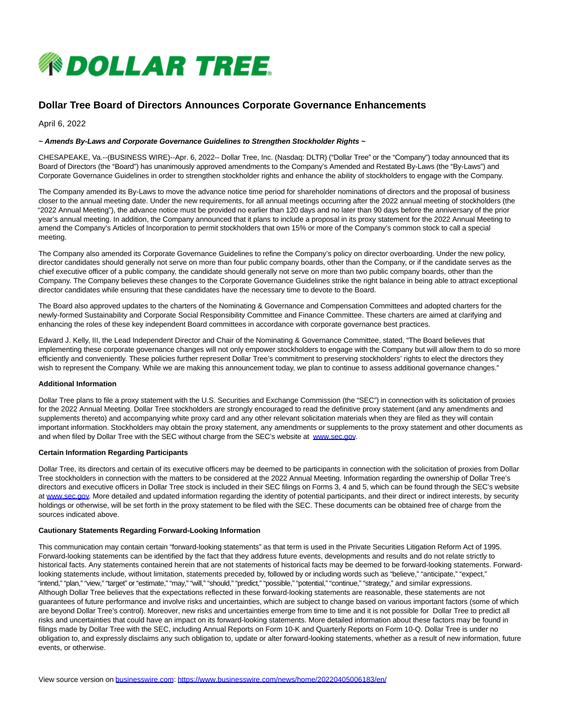

# **Dollar Tree Board of Directors Announces Corporate Governance Enhancements**

April 6, 2022

## **~ Amends By-Laws and Corporate Governance Guidelines to Strengthen Stockholder Rights ~**

CHESAPEAKE, Va.--(BUSINESS WIRE)--Apr. 6, 2022-- Dollar Tree, Inc. (Nasdaq: DLTR) ("Dollar Tree" or the "Company") today announced that its Board of Directors (the "Board") has unanimously approved amendments to the Company's Amended and Restated By-Laws (the "By-Laws") and Corporate Governance Guidelines in order to strengthen stockholder rights and enhance the ability of stockholders to engage with the Company.

The Company amended its By-Laws to move the advance notice time period for shareholder nominations of directors and the proposal of business closer to the annual meeting date. Under the new requirements, for all annual meetings occurring after the 2022 annual meeting of stockholders (the "2022 Annual Meeting"), the advance notice must be provided no earlier than 120 days and no later than 90 days before the anniversary of the prior year's annual meeting. In addition, the Company announced that it plans to include a proposal in its proxy statement for the 2022 Annual Meeting to amend the Company's Articles of Incorporation to permit stockholders that own 15% or more of the Company's common stock to call a special meeting.

The Company also amended its Corporate Governance Guidelines to refine the Company's policy on director overboarding. Under the new policy, director candidates should generally not serve on more than four public company boards, other than the Company, or if the candidate serves as the chief executive officer of a public company, the candidate should generally not serve on more than two public company boards, other than the Company. The Company believes these changes to the Corporate Governance Guidelines strike the right balance in being able to attract exceptional director candidates while ensuring that these candidates have the necessary time to devote to the Board.

The Board also approved updates to the charters of the Nominating & Governance and Compensation Committees and adopted charters for the newly-formed Sustainability and Corporate Social Responsibility Committee and Finance Committee. These charters are aimed at clarifying and enhancing the roles of these key independent Board committees in accordance with corporate governance best practices.

Edward J. Kelly, III, the Lead Independent Director and Chair of the Nominating & Governance Committee, stated, "The Board believes that implementing these corporate governance changes will not only empower stockholders to engage with the Company but will allow them to do so more efficiently and conveniently. These policies further represent Dollar Tree's commitment to preserving stockholders' rights to elect the directors they wish to represent the Company. While we are making this announcement today, we plan to continue to assess additional governance changes."

#### **Additional Information**

Dollar Tree plans to file a proxy statement with the U.S. Securities and Exchange Commission (the "SEC") in connection with its solicitation of proxies for the 2022 Annual Meeting. Dollar Tree stockholders are strongly encouraged to read the definitive proxy statement (and any amendments and supplements thereto) and accompanying white proxy card and any other relevant solicitation materials when they are filed as they will contain important information. Stockholders may obtain the proxy statement, any amendments or supplements to the proxy statement and other documents as and when filed by Dollar Tree with the SEC without charge from the SEC's website at [www.sec.gov.](https://cts.businesswire.com/ct/CT?id=smartlink&url=http%3A%2F%2Fwww.sec.gov&esheet=52656338&newsitemid=20220405006183&lan=en-US&anchor=www.sec.gov&index=1&md5=55957a4735c86123d23e0a351b773ade)

### **Certain Information Regarding Participants**

Dollar Tree, its directors and certain of its executive officers may be deemed to be participants in connection with the solicitation of proxies from Dollar Tree stockholders in connection with the matters to be considered at the 2022 Annual Meeting. Information regarding the ownership of Dollar Tree's directors and executive officers in Dollar Tree stock is included in their SEC filings on Forms 3, 4 and 5, which can be found through the SEC's website at [www.sec.gov.](https://cts.businesswire.com/ct/CT?id=smartlink&url=http%3A%2F%2Fwww.sec.gov&esheet=52656338&newsitemid=20220405006183&lan=en-US&anchor=www.sec.gov&index=2&md5=359f2eed5236daeacd3437c1a4c097aa) More detailed and updated information regarding the identity of potential participants, and their direct or indirect interests, by security holdings or otherwise, will be set forth in the proxy statement to be filed with the SEC. These documents can be obtained free of charge from the sources indicated above.

#### **Cautionary Statements Regarding Forward-Looking Information**

This communication may contain certain "forward-looking statements" as that term is used in the Private Securities Litigation Reform Act of 1995. Forward-looking statements can be identified by the fact that they address future events, developments and results and do not relate strictly to historical facts. Any statements contained herein that are not statements of historical facts may be deemed to be forward-looking statements. Forwardlooking statements include, without limitation, statements preceded by, followed by or including words such as "believe," "anticipate," "expect," "intend," "plan," "view," "target" or "estimate," "may," "will," "should," "predict," "possible," "potential," "continue," "strategy," and similar expressions. Although Dollar Tree believes that the expectations reflected in these forward-looking statements are reasonable, these statements are not guarantees of future performance and involve risks and uncertainties, which are subject to change based on various important factors (some of which are beyond Dollar Tree's control). Moreover, new risks and uncertainties emerge from time to time and it is not possible for Dollar Tree to predict all risks and uncertainties that could have an impact on its forward-looking statements. More detailed information about these factors may be found in filings made by Dollar Tree with the SEC, including Annual Reports on Form 10-K and Quarterly Reports on Form 10-Q. Dollar Tree is under no obligation to, and expressly disclaims any such obligation to, update or alter forward-looking statements, whether as a result of new information, future events, or otherwise.